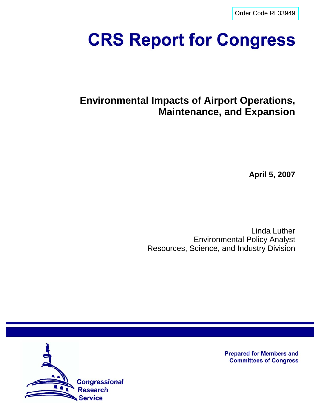[Order Code RL33949](http://www.fas.org/sgp/crs/misc/index.html)

# **CRS Report for Congress**

# **Environmental Impacts of Airport Operations, Maintenance, and Expansion**

**April 5, 2007**

Linda Luther Environmental Policy Analyst Resources, Science, and Industry Division



**Prepared for Members and Committees of Congress**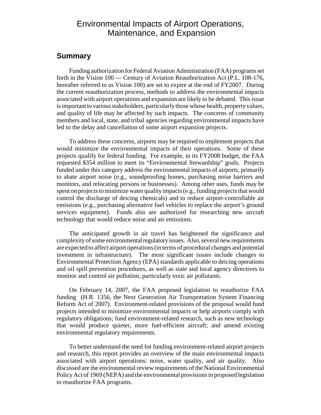# Environmental Impacts of Airport Operations, Maintenance, and Expansion

# **Summary**

Funding authorization for Federal Aviation Administration (FAA) programs set forth in the Vision 100 — Century of Aviation Reauthorization Act (P.L. 108-176, hereafter referred to as Vision 100) are set to expire at the end of FY2007. During the current reauthorization process, methods to address the environmental impacts associated with airport operations and expansion are likely to be debated. This issue is important to various stakeholders, particularly those whose health, property values, and quality of life may be affected by such impacts. The concerns of community members and local, state, and tribal agencies regarding environmental impacts have led to the delay and cancellation of some airport expansion projects.

To address these concerns, airports may be required to implement projects that would minimize the environmental impacts of their operations. Some of these projects qualify for federal funding. For example, in its FY2008 budget, the FAA requested \$354 million to meet its "Environmental Stewardship" goals. Projects funded under this category address the environmental impacts of airports, primarily to abate airport noise (e.g., soundproofing homes, purchasing noise barriers and monitors, and relocating persons or businesses). Among other uses, funds may be spent on projects to minimize water quality impacts (e.g., funding projects that would control the discharge of deicing chemicals) and to reduce airport-controllable air emissions (e.g., purchasing alternative fuel vehicles to replace the airport's ground services equipment). Funds also are authorized for researching new aircraft technology that would reduce noise and air emissions.

The anticipated growth in air travel has heightened the significance and complexity of some environmental regulatory issues. Also, several new requirements are expected to affect airport operations (in terms of procedural changes and potential investment in infrastructure). The most significant issues include changes to Environmental Protection Agency (EPA) standards applicable to deicing operations and oil spill prevention procedures, as well as state and local agency directives to monitor and control air pollution, particularly toxic air pollutants.

On February 14, 2007, the FAA proposed legislation to reauthorize FAA funding (H.R. 1356, the Next Generation Air Transportation System Financing Reform Act of 2007). Environment-related provisions of the proposal would fund projects intended to minimize environmental impacts or help airports comply with regulatory obligations; fund environment-related research, such as new technology that would produce quieter, more fuel-efficient aircraft; and amend existing environmental regulatory requirements.

To better understand the need for funding environment-related airport projects and research, this report provides an overview of the main environmental impacts associated with airport operations: noise, water quality, and air quality. Also discussed are the environmental review requirements of the National Environmental Policy Act of 1969 (NEPA) and the environmental provisions in proposed legislation to reauthorize FAA programs.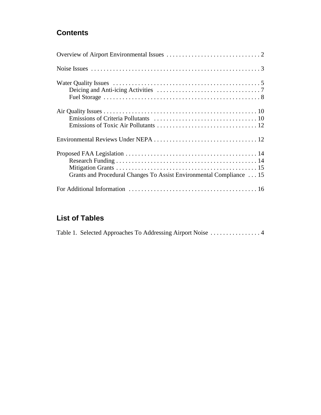# **Contents**

| Grants and Procedural Changes To Assist Environmental Compliance  15 |
|----------------------------------------------------------------------|
|                                                                      |

# **List of Tables**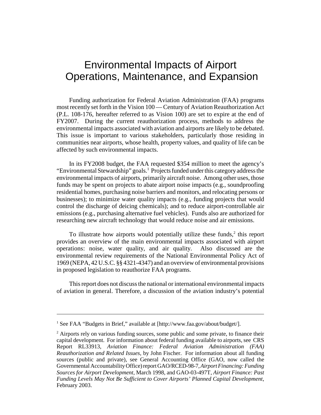# Environmental Impacts of Airport Operations, Maintenance, and Expansion

Funding authorization for Federal Aviation Administration (FAA) programs most recently set forth in the Vision 100 — Century of Aviation Reauthorization Act (P.L. 108-176, hereafter referred to as Vision 100) are set to expire at the end of FY2007. During the current reauthorization process, methods to address the environmental impacts associated with aviation and airports are likely to be debated. This issue is important to various stakeholders, particularly those residing in communities near airports, whose health, property values, and quality of life can be affected by such environmental impacts.

In its FY2008 budget, the FAA requested \$354 million to meet the agency's "Environmental Stewardship" goals.<sup>1</sup> Projects funded under this category address the environmental impacts of airports, primarily aircraft noise. Among other uses, those funds may be spent on projects to abate airport noise impacts (e.g., soundproofing residential homes, purchasing noise barriers and monitors, and relocating persons or businesses); to minimize water quality impacts (e.g., funding projects that would control the discharge of deicing chemicals); and to reduce airport-controllable air emissions (e.g., purchasing alternative fuel vehicles). Funds also are authorized for researching new aircraft technology that would reduce noise and air emissions.

To illustrate how airports would potentially utilize these funds, $2$  this report provides an overview of the main environmental impacts associated with airport operations: noise, water quality, and air quality. Also discussed are the environmental review requirements of the National Environmental Policy Act of 1969 (NEPA, 42 U.S.C. §§ 4321-4347) and an overview of environmental provisions in proposed legislation to reauthorize FAA programs.

This report does not discuss the national or international environmental impacts of aviation in general. Therefore, a discussion of the aviation industry's potential

<sup>&</sup>lt;sup>1</sup> See FAA "Budgets in Brief," available at [http://www.faa.gov/about/budget/].

<sup>&</sup>lt;sup>2</sup> Airports rely on various funding sources, some public and some private, to finance their capital development. For information about federal funding available to airports, see CRS Report RL33913, *Aviation Finance: Federal Aviation Administration (FAA) Reauthorization and Related Issues*, by John Fischer. For information about all funding sources (public and private), see General Accounting Office (GAO, now called the Governmental Accountability Office) report GAO/RCED-98-7, *Airport Financing: Funding Sources for Airport Development*, March 1998, and GAO-03-497T, *Airport Finance: Past Funding Levels May Not Be Sufficient to Cover Airports' Planned Capital Development*, February 2003.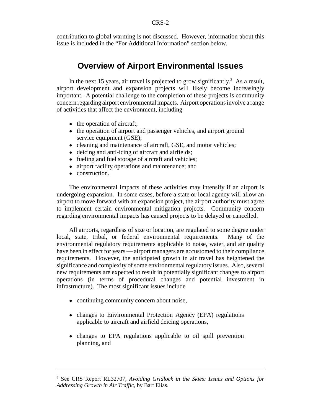contribution to global warming is not discussed. However, information about this issue is included in the "For Additional Information" section below.

# **Overview of Airport Environmental Issues**

In the next 15 years, air travel is projected to grow significantly.<sup>3</sup> As a result, airport development and expansion projects will likely become increasingly important. A potential challenge to the completion of these projects is community concern regarding airport environmental impacts. Airport operations involve a range of activities that affect the environment, including

- the operation of aircraft;
- the operation of airport and passenger vehicles, and airport ground service equipment (GSE);
- cleaning and maintenance of aircraft, GSE, and motor vehicles;
- deicing and anti-icing of aircraft and airfields;
- fueling and fuel storage of aircraft and vehicles;
- ! airport facility operations and maintenance; and
- construction.

The environmental impacts of these activities may intensify if an airport is undergoing expansion. In some cases, before a state or local agency will allow an airport to move forward with an expansion project, the airport authority must agree to implement certain environmental mitigation projects. Community concern regarding environmental impacts has caused projects to be delayed or cancelled.

All airports, regardless of size or location, are regulated to some degree under local, state, tribal, or federal environmental requirements. Many of the environmental regulatory requirements applicable to noise, water, and air quality have been in effect for years — airport managers are accustomed to their compliance requirements. However, the anticipated growth in air travel has heightened the significance and complexity of some environmental regulatory issues. Also, several new requirements are expected to result in potentially significant changes to airport operations (in terms of procedural changes and potential investment in infrastructure). The most significant issues include

- continuing community concern about noise,
- changes to Environmental Protection Agency (EPA) regulations applicable to aircraft and airfield deicing operations,
- changes to EPA regulations applicable to oil spill prevention planning, and

<sup>3</sup> See CRS Report RL32707, *Avoiding Gridlock in the Skies: Issues and Options for Addressing Growth in Air Traffic*, by Bart Elias.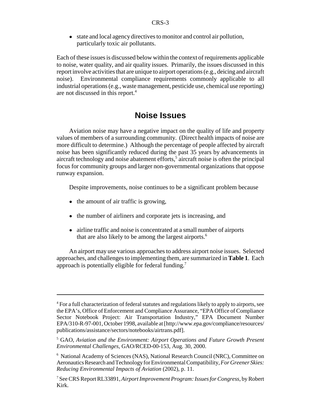! state and local agency directives to monitor and control air pollution, particularly toxic air pollutants.

Each of these issues is discussed below within the context of requirements applicable to noise, water quality, and air quality issues. Primarily, the issues discussed in this report involve activities that are unique to airport operations (e.g., deicing and aircraft noise). Environmental compliance requirements commonly applicable to all industrial operations (e.g., waste management, pesticide use, chemical use reporting) are not discussed in this report.<sup>4</sup>

# **Noise Issues**

Aviation noise may have a negative impact on the quality of life and property values of members of a surrounding community. (Direct health impacts of noise are more difficult to determine.) Although the percentage of people affected by aircraft noise has been significantly reduced during the past 35 years by advancements in aircraft technology and noise abatement efforts,<sup>5</sup> aircraft noise is often the principal focus for community groups and larger non-governmental organizations that oppose runway expansion.

Despite improvements, noise continues to be a significant problem because

- the amount of air traffic is growing,
- the number of airliners and corporate jets is increasing, and
- airline traffic and noise is concentrated at a small number of airports that are also likely to be among the largest airports.<sup>6</sup>

An airport may use various approaches to address airport noise issues. Selected approaches, and challenges to implementing them, are summarized in **Table 1**. Each approach is potentially eligible for federal funding.<sup>7</sup>

<sup>&</sup>lt;sup>4</sup> For a full characterization of federal statutes and regulations likely to apply to airports, see the EPA's, Office of Enforcement and Compliance Assurance, "EPA Office of Compliance Sector Notebook Project: Air Transportation Industry," EPA Document Number EPA/310-R-97-001, October 1998, available at [http://www.epa.gov/compliance/resources/ publications/assistance/sectors/notebooks/airtrans.pdf].

<sup>5</sup> GAO, *Aviation and the Environment: Airport Operations and Future Growth Present Environmental Challenges*, GAO/RCED-00-153, Aug. 30, 2000.

<sup>6</sup> National Academy of Sciences (NAS), National Research Council (NRC), Committee on Aeronautics Research and Technology for Environmental Compatibility, *For Greener Skies: Reducing Environmental Impacts of Aviation* (2002), p. 11.

<sup>7</sup> See CRS Report RL33891, *Airport Improvement Program: Issues for Congress*, by Robert Kirk.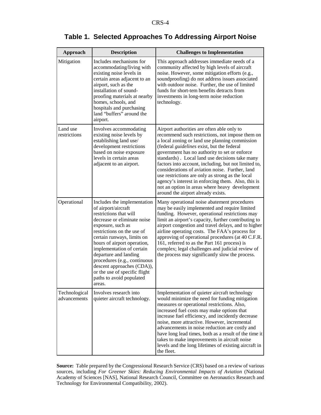| <b>Approach</b>               | <b>Description</b>                                                                                                                                                                                                                                                                                                                                                                                                     | <b>Challenges to Implementation</b>                                                                                                                                                                                                                                                                                                                                                                                                                                                                                                                                                                                  |
|-------------------------------|------------------------------------------------------------------------------------------------------------------------------------------------------------------------------------------------------------------------------------------------------------------------------------------------------------------------------------------------------------------------------------------------------------------------|----------------------------------------------------------------------------------------------------------------------------------------------------------------------------------------------------------------------------------------------------------------------------------------------------------------------------------------------------------------------------------------------------------------------------------------------------------------------------------------------------------------------------------------------------------------------------------------------------------------------|
| Mitigation                    | Includes mechanisms for<br>accommodating/living with<br>existing noise levels in<br>certain areas adjacent to an<br>airport, such as the<br>installation of sound-<br>proofing materials at nearby<br>homes, schools, and<br>hospitals and purchasing<br>land "buffers" around the<br>airport.                                                                                                                         | This approach addresses immediate needs of a<br>community affected by high levels of aircraft<br>noise. However, some mitigation efforts (e.g.,<br>soundproofing) do not address issues associated<br>with outdoor noise. Further, the use of limited<br>funds for short-tem benefits detracts from<br>investments in long-term noise reduction<br>technology.                                                                                                                                                                                                                                                       |
| Land use<br>restrictions      | Involves accommodating<br>existing noise levels by<br>establishing land use/<br>development restrictions<br>based on noise exposure<br>levels in certain areas<br>adjacent to an airport.                                                                                                                                                                                                                              | Airport authorities are often able only to<br>recommend such restrictions, not impose them on<br>a local zoning or land use planning commission<br>(federal <i>guidelines</i> exist, but the federal<br>government has no authority to set or enforce<br>standards). Local land use decisions take many<br>factors into account, including, but not limited to,<br>considerations of aviation noise. Further, land<br>use restrictions are only as strong as the local<br>agency's interest in enforcing them. Also, this is<br>not an option in areas where heavy development<br>around the airport already exists. |
| Operational                   | Includes the implementation<br>of airport/aircraft<br>restrictions that will<br>decrease or eliminate noise<br>exposure, such as<br>restrictions on the use of<br>certain runways, limits on<br>hours of airport operation,<br>implementation of certain<br>departure and landing<br>procedures (e.g., continuous<br>descent approaches (CDA)),<br>or the use of specific flight<br>paths to avoid populated<br>areas. | Many operational noise abatement procedures<br>may be easily implemented and require limited<br>funding. However, operational restrictions may<br>limit an airport's capacity, further contributing to<br>airport congestion and travel delays, and to higher<br>airline operating costs. The FAA's process for<br>approving of operational procedures (at 40 C.F.R.<br>161, referred to as the Part 161 process) is<br>complex; legal challenges and judicial review of<br>the process may significantly slow the process.                                                                                          |
| Technological<br>advancements | Involves research into<br>quieter aircraft technology.                                                                                                                                                                                                                                                                                                                                                                 | Implementation of quieter aircraft technology<br>would minimize the need for funding mitigation<br>measures or operational restrictions. Also,<br>increased fuel costs may make options that<br>increase fuel efficiency, and incidently decrease<br>noise, more attractive. However, incremental<br>advancements in noise reduction are costly and<br>have long lead times, both as a result of the time it<br>takes to make improvements in aircraft noise<br>levels and the long lifetimes of existing aircraft in<br>the fleet.                                                                                  |

# **Table 1. Selected Approaches To Addressing Airport Noise**

**Source:** Table prepared by the Congressional Research Service (CRS) based on a review of various sources, including *For Greener Skies: Reducing Environmental Impacts of Aviation* (National Academy of Sciences [NAS], National Research Council, Committee on Aeronautics Research and Technology for Environmental Compatibility, 2002).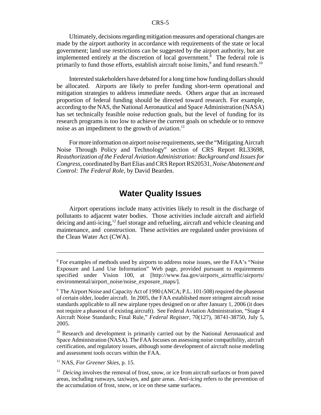Ultimately, decisions regarding mitigation measures and operational changes are made by the airport authority in accordance with requirements of the state or local government; land use restrictions can be suggested by the airport authority, but are implemented entirely at the discretion of local government.<sup>8</sup> The federal role is primarily to fund those efforts, establish aircraft noise limits,<sup>9</sup> and fund research.<sup>10</sup>

Interested stakeholders have debated for a long time how funding dollars should be allocated. Airports are likely to prefer funding short-term operational and mitigation strategies to address immediate needs. Others argue that an increased proportion of federal funding should be directed toward research. For example, according to the NAS, the National Aeronautical and Space Administration (NASA) has set technically feasible noise reduction goals, but the level of funding for its research programs is too low to achieve the current goals on schedule or to remove noise as an impediment to the growth of aviation. $^{11}$ 

For more information on airport noise requirements, see the "Mitigating Aircraft Noise Through Policy and Technology" section of CRS Report RL33698, *Reauthorization of the Federal Aviation Administration: Background and Issues for Congress*, coordinated by Bart Elias and CRS Report RS20531, *Noise Abatement and Control: The Federal Role*, by David Bearden.

# **Water Quality Issues**

Airport operations include many activities likely to result in the discharge of pollutants to adjacent water bodies. Those activities include aircraft and airfield deicing and anti-icing,12 fuel storage and refueling, aircraft and vehicle cleaning and maintenance, and construction. These activities are regulated under provisions of the Clean Water Act (CWA).

11 NAS, *For Greener Skies*, p. 15.

<sup>&</sup>lt;sup>8</sup> For examples of methods used by airports to address noise issues, see the FAA's "Noise Exposure and Land Use Information" Web page, provided pursuant to requirements specified under Vision 100, at [http://www.faa.gov/airports airtraffic/airports/ environmental/airport\_noise/noise\_exposure\_maps/].

<sup>&</sup>lt;sup>9</sup> The Airport Noise and Capacity Act of 1990 (ANCA; P.L. 101-508) required the phaseout of certain older, louder aircraft. In 2005, the FAA established more stringent aircraft noise standards applicable to all new airplane types designed on or after January 1, 2006 (it does not require a phaseout of existing aircraft). See Federal Aviation Administration, "Stage 4 Aircraft Noise Standards; Final Rule," *Federal Register*, 70(127), 38741-38750, July 5, 2005.

<sup>&</sup>lt;sup>10</sup> Research and development is primarily carried out by the National Aeronautical and Space Administration (NASA). The FAA focuses on assessing noise compatibility, aircraft certification, and regulatory issues, although some development of aircraft noise modeling and assessment tools occurs within the FAA.

<sup>&</sup>lt;sup>12</sup> *Deicing* involves the removal of frost, snow, or ice from aircraft surfaces or from paved areas, including runways, taxiways, and gate areas. *Anti-icing* refers to the prevention of the accumulation of frost, snow, or ice on these same surfaces.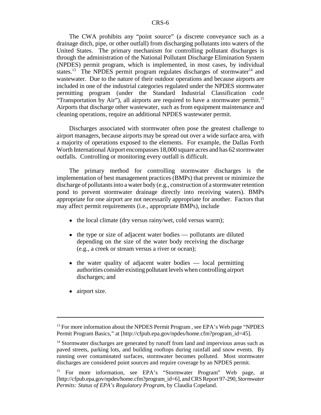The CWA prohibits any "point source" (a discrete conveyance such as a drainage ditch, pipe, or other outfall) from discharging pollutants into waters of the United States. The primary mechanism for controlling pollutant discharges is through the administration of the National Pollutant Discharge Elimination System (NPDES) permit program, which is implemented, in most cases, by individual states.<sup>13</sup> The NPDES permit program regulates discharges of stormwater<sup>14</sup> and wastewater. Due to the nature of their outdoor operations and because airports are included in one of the industrial categories regulated under the NPDES stormwater permitting program (under the Standard Industrial Classification code "Transportation by Air"), all airports are required to have a stormwater permit.<sup>15</sup> Airports that discharge other wastewater, such as from equipment maintenance and cleaning operations, require an additional NPDES wastewater permit.

Discharges associated with stormwater often pose the greatest challenge to airport managers, because airports may be spread out over a wide surface area, with a majority of operations exposed to the elements. For example, the Dallas Forth Worth International Airport encompasses 18,000 square acres and has 62 stormwater outfalls. Controlling or monitoring every outfall is difficult.

The primary method for controlling stormwater discharges is the implementation of best management practices (BMPs) that prevent or minimize the discharge of pollutants into a water body (e.g., construction of a stormwater retention pond to prevent stormwater drainage directly into receiving waters). BMPs appropriate for one airport are not necessarily appropriate for another. Factors that may affect permit requirements (i.e., appropriate BMPs), include

- the local climate (dry versus rainy/wet, cold versus warm);
- the type or size of adjacent water bodies pollutants are diluted depending on the size of the water body receiving the discharge (e.g., a creek or stream versus a river or ocean);
- $\bullet$  the water quality of adjacent water bodies local permitting authorities consider existing pollutant levels when controlling airport discharges; and
- airport size.

<sup>&</sup>lt;sup>13</sup> For more information about the NPDES Permit Program, see EPA's Web page "NPDES" Permit Program Basics," at [http://cfpub.epa.gov/npdes/home.cfm?program\_id=45].

<sup>&</sup>lt;sup>14</sup> Stormwater discharges are generated by runoff from land and impervious areas such as paved streets, parking lots, and building rooftops during rainfall and snow events. By running over contaminated surfaces, stormwater becomes polluted. Most stormwater discharges are considered point sources and require coverage by an NPDES permit.

<sup>&</sup>lt;sup>15</sup> For more information, see EPA's "Stormwater Program" Web page, at [http://cfpub.epa.gov/npdes/home.cfm?program\_id=6], and CRS Report 97-290, *Stormwater Permits: Status of EPA's Regulatory Program*, by Claudia Copeland.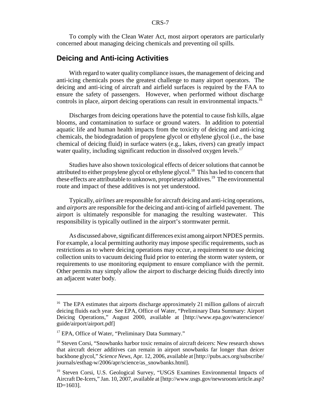To comply with the Clean Water Act, most airport operators are particularly concerned about managing deicing chemicals and preventing oil spills.

## **Deicing and Anti-icing Activities**

With regard to water quality compliance issues, the management of deicing and anti-icing chemicals poses the greatest challenge to many airport operators. The deicing and anti-icing of aircraft and airfield surfaces is required by the FAA to ensure the safety of passengers. However, when performed without discharge controls in place, airport deicing operations can result in environmental impacts.<sup>16</sup>

Discharges from deicing operations have the potential to cause fish kills, algae blooms, and contamination to surface or ground waters. In addition to potential aquatic life and human health impacts from the toxicity of deicing and anti-icing chemicals, the biodegradation of propylene glycol or ethylene glycol (i.e., the base chemical of deicing fluid) in surface waters (e.g., lakes, rivers) can greatly impact water quality, including significant reduction in dissolved oxygen levels.<sup>17</sup>

Studies have also shown toxicological effects of deicer solutions that cannot be attributed to either propylene glycol or ethylene glycol.<sup>18</sup> This has led to concern that these effects are attributable to unknown, proprietary additives.<sup>19</sup> The environmental route and impact of these additives is not yet understood.

Typically, *airlines* are responsible for aircraft deicing and anti-icing operations, and *airports* are responsible for the deicing and anti-icing of airfield pavement. The airport is ultimately responsible for managing the resulting wastewater. This responsibility is typically outlined in the airport's stormwater permit.

As discussed above, significant differences exist among airport NPDES permits. For example, a local permitting authority may impose specific requirements, such as restrictions as to where deicing operations may occur, a requirement to use deicing collection units to vacuum deicing fluid prior to entering the storm water system, or requirements to use monitoring equipment to ensure compliance with the permit. Other permits may simply allow the airport to discharge deicing fluids directly into an adjacent water body.

<sup>&</sup>lt;sup>16</sup> The EPA estimates that airports discharge approximately 21 million gallons of aircraft deicing fluids each year. See EPA, Office of Water, "Preliminary Data Summary: Airport Deicing Operations," August 2000, available at [http://www.epa.gov/waterscience/ guide/airport/airport.pdf]

<sup>&</sup>lt;sup>17</sup> EPA, Office of Water, "Preliminary Data Summary."

<sup>&</sup>lt;sup>18</sup> Steven Corsi, "Snowbanks harbor toxic remains of aircraft deicers: New research shows that aircraft deicer additives can remain in airport snowbanks far longer than deicer backbone glycol," *Science News,* Apr. 12, 2006, available at [http://pubs.acs.org/subscribe/ journals/esthag-w/2006/apr/science/as\_snowbanks.html].

<sup>&</sup>lt;sup>19</sup> Steven Corsi, U.S. Geological Survey, "USGS Examines Environmental Impacts of Aircraft De-Icers," Jan. 10, 2007, available at [http://www.usgs.gov/newsroom/article.asp? ID=1603].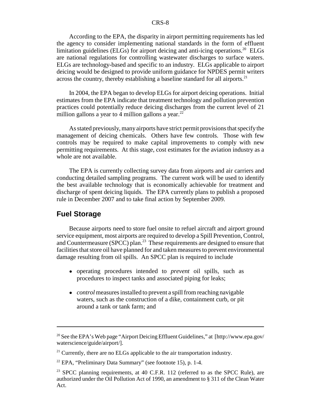According to the EPA, the disparity in airport permitting requirements has led the agency to consider implementing national standards in the form of effluent limitation guidelines (ELGs) for airport deicing and anti-icing operations.<sup>20</sup> ELGs are national regulations for controlling wastewater discharges to surface waters. ELGs are technology-based and specific to an industry. ELGs applicable to airport deicing would be designed to provide uniform guidance for NPDES permit writers across the country, thereby establishing a baseline standard for all airports.<sup>21</sup>

In 2004, the EPA began to develop ELGs for airport deicing operations. Initial estimates from the EPA indicate that treatment technology and pollution prevention practices could potentially reduce deicing discharges from the current level of 21 million gallons a year to 4 million gallons a year.<sup>22</sup>

As stated previously, many airports have strict permit provisions that specify the management of deicing chemicals. Others have few controls. Those with few controls may be required to make capital improvements to comply with new permitting requirements. At this stage, cost estimates for the aviation industry as a whole are not available.

The EPA is currently collecting survey data from airports and air carriers and conducting detailed sampling programs. The current work will be used to identify the best available technology that is economically achievable for treatment and discharge of spent deicing liquids. The EPA currently plans to publish a proposed rule in December 2007 and to take final action by September 2009.

## **Fuel Storage**

Because airports need to store fuel onsite to refuel aircraft and airport ground service equipment, most airports are required to develop a Spill Prevention, Control, and Countermeasure (SPCC) plan.<sup>23</sup> These requirements are designed to ensure that facilities that store oil have planned for and taken measures to prevent environmental damage resulting from oil spills. An SPCC plan is required to include

- ! operating procedures intended to *prevent* oil spills, such as procedures to inspect tanks and associated piping for leaks;
- *control* measures installed to prevent a spill from reaching navigable waters, such as the construction of a dike, containment curb, or pit around a tank or tank farm; and

<sup>20</sup> See the EPA's Web page "Airport Deicing Effluent Guidelines," at [http://www.epa.gov/ waterscience/guide/airport/].

 $21$  Currently, there are no ELGs applicable to the air transportation industry.

 $22$  EPA, "Preliminary Data Summary" (see footnote 15), p. 1-4.

<sup>&</sup>lt;sup>23</sup> SPCC planning requirements, at 40 C.F.R. 112 (referred to as the SPCC Rule), are authorized under the Oil Pollution Act of 1990, an amendment to § 311 of the Clean Water Act.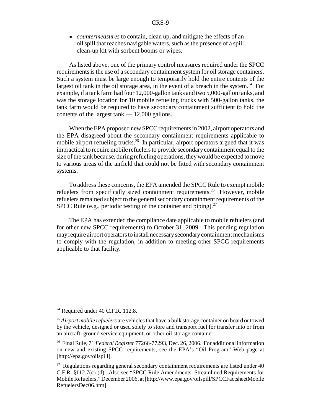! *countermeasures* to contain, clean up, and mitigate the effects of an oil spill that reaches navigable waters, such as the presence of a spill clean-up kit with sorbent booms or wipes.

As listed above, one of the primary control measures required under the SPCC requirements is the use of a secondary containment system for oil storage containers. Such a system must be large enough to temporarily hold the entire contents of the largest oil tank in the oil storage area, in the event of a breach in the system.<sup>24</sup> For example, if a tank farm had four 12,000-gallon tanks and two 5,000-gallon tanks, and was the storage location for 10 mobile refueling trucks with 500-gallon tanks, the tank farm would be required to have secondary containment sufficient to hold the contents of the largest tank  $-12,000$  gallons.

When the EPA proposed new SPCC requirements in 2002, airport operators and the EPA disagreed about the secondary containment requirements applicable to mobile airport refueling trucks.<sup>25</sup> In particular, airport operators argued that it was impractical to require mobile refuelers to provide secondary containment equal to the size of the tank because, during refueling operations, they would be expected to move to various areas of the airfield that could not be fitted with secondary containment systems.

To address these concerns, the EPA amended the SPCC Rule to exempt mobile refuelers from specifically sized containment requirements.<sup>26</sup> However, mobile refuelers remained subject to the general secondary containment requirements of the SPCC Rule (e.g., periodic testing of the container and piping).<sup>27</sup>

The EPA has extended the compliance date applicable to mobile refuelers (and for other new SPCC requirements) to October 31, 2009. This pending regulation may require airport operators to install necessary secondary containment mechanisms to comply with the regulation, in addition to meeting other SPCC requirements applicable to that facility.

 $24$  Required under 40 C.F.R. 112.8.

<sup>25</sup> *Airport mobile refuelers* are vehicles that have a bulk storage container on board or towed by the vehicle, designed or used solely to store and transport fuel for transfer into or from an aircraft, ground service equipment, or other oil storage container.

<sup>26</sup> Final Rule, 71 *Federal Register* 77266-77293, Dec. 26, 2006. For additional information on new and existing SPCC requirements, see the EPA's "Oil Program" Web page at [http://epa.gov/oilspill].

 $27$  Regulations regarding general secondary containment requirements are listed under 40 C.F.R. §112.7(c)-(d). Also see "SPCC Rule Amendments: Streamlined Requirements for Mobile Refuelers," December 2006, at [http://www.epa.gov/oilspill/SPCCFactsheetMobile RefuelersDec06.htm].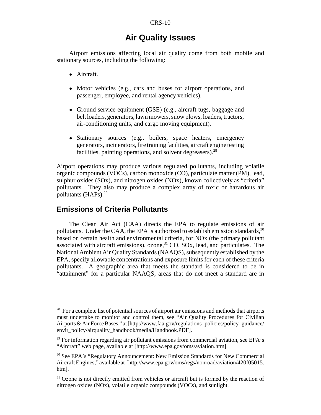# **Air Quality Issues**

Airport emissions affecting local air quality come from both mobile and stationary sources, including the following:

- Aircraft.
- Motor vehicles (e.g., cars and buses for airport operations, and passenger, employee, and rental agency vehicles).
- Ground service equipment (GSE) (e.g., aircraft tugs, baggage and belt loaders, generators, lawn mowers, snow plows, loaders, tractors, air-conditioning units, and cargo moving equipment).
- Stationary sources (e.g., boilers, space heaters, emergency generators, incinerators, fire training facilities, aircraft engine testing facilities, painting operations, and solvent degreasers). $^{28}$

Airport operations may produce various regulated pollutants, including volatile organic compounds (VOCs), carbon monoxide (CO), particulate matter (PM), lead, sulphur oxides (SOx), and nitrogen oxides (NOx), known collectively as "criteria" pollutants. They also may produce a complex array of toxic or hazardous air pollutants (HAPs).<sup>29</sup>

#### **Emissions of Criteria Pollutants**

The Clean Air Act (CAA) directs the EPA to regulate emissions of air pollutants. Under the CAA, the EPA is authorized to establish emission standards,  $30^{\circ}$ based on certain health and environmental criteria, for NOx (the primary pollutant associated with aircraft emissions),  $\alpha$ zone,  $31$  CO, SOx, lead, and particulates. The National Ambient Air Quality Standards (NAAQS), subsequently established by the EPA, specify allowable concentrations and exposure limits for each of these criteria pollutants. A geographic area that meets the standard is considered to be in "attainment" for a particular NAAQS; areas that do not meet a standard are in

 $28$  For a complete list of potential sources of airport air emissions and methods that airports must undertake to monitor and control them, see "Air Quality Procedures for Civilian Airports & Air Force Bases," at [http://www.faa.gov/regulations\_policies/policy\_guidance/ envir\_policy/airquality\_handbook/media/Handbook.PDF].

 $29$  For information regarding air pollutant emissions from commercial aviation, see EPA's "Aircraft" web page, available at [http://www.epa.gov/oms/aviation.htm].

<sup>30</sup> See EPA's "Regulatory Announcement: New Emission Standards for New Commercial Aircraft Engines," available at [http://www.epa.gov/oms/regs/nonroad/aviation/420f05015. htm].

 $31$  Ozone is not directly emitted from vehicles or aircraft but is formed by the reaction of nitrogen oxides (NOx), volatile organic compounds (VOCs), and sunlight.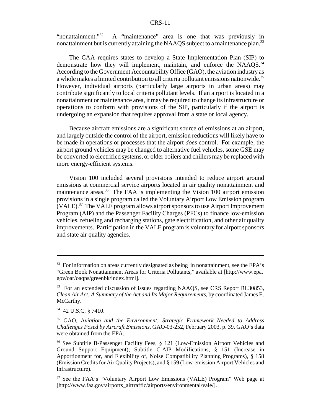"nonattainment."<sup>32</sup> A "maintenance" area is one that was previously in nonattainment but is currently attaining the NAAQS subject to a maintenance plan.<sup>33</sup>

The CAA requires states to develop a State Implementation Plan (SIP) to demonstrate how they will implement, maintain, and enforce the NAAQS. $34$ According to the Government Accountability Office (GAO), the aviation industry as a whole makes a limited contribution to all criteria pollutant emissions nationwide.<sup>35</sup> However, individual airports (particularly large airports in urban areas) may contribute significantly to local criteria pollutant levels. If an airport is located in a nonattainment or maintenance area, it may be required to change its infrastructure or operations to conform with provisions of the SIP, particularly if the airport is undergoing an expansion that requires approval from a state or local agency.

Because aircraft emissions are a significant source of emissions at an airport, and largely outside the control of the airport, emission reductions will likely have to be made in operations or processes that the airport *does* control. For example, the airport ground vehicles may be changed to alternative fuel vehicles, some GSE may be converted to electrified systems, or older boilers and chillers may be replaced with more energy-efficient systems.

Vision 100 included several provisions intended to reduce airport ground emissions at commercial service airports located in air quality nonattainment and maintenance areas.<sup>36</sup> The FAA is implementing the Vision 100 airport emission provisions in a single program called the Voluntary Airport Low Emission program (VALE).37 The VALE program allows airport sponsors to use Airport Improvement Program (AIP) and the Passenger Facility Charges (PFCs) to finance low-emission vehicles, refueling and recharging stations, gate electrification, and other air quality improvements. Participation in the VALE program is voluntary for airport sponsors and state air quality agencies.

 $32$  For information on areas currently designated as being in nonattainment, see the EPA's "Green Book Nonattainment Areas for Criteria Pollutants," available at [http://www.epa. gov/oar/oaqps/greenbk/index.html].

<sup>&</sup>lt;sup>33</sup> For an extended discussion of issues regarding NAAQS, see CRS Report RL30853, *Clean Air Act: A Summary of the Act and Its Major Requirements*, by coordinated James E. McCarthy.

<sup>34 42</sup> U.S.C. § 7410.

<sup>35</sup> GAO, A*viation and the Environment: Strategic Framework Needed to Address Challenges Posed by Aircraft Emissions*, GAO-03-252, February 2003, p. 39. GAO's data were obtained from the EPA.

<sup>36</sup> See Subtitle B-Passenger Facility Fees, § 121 (Low-Emission Airport Vehicles and Ground Support Equipment); Subtitle C-AIP Modifications, § 151 (Increase in Apportionment for, and Flexibility of, Noise Compatibility Planning Programs), § 158 (Emission Credits for Air Quality Projects), and § 159 (Low-emission Airport Vehicles and Infrastructure).

<sup>&</sup>lt;sup>37</sup> See the FAA's "Voluntary Airport Low Emissions (VALE) Program" Web page at [http://www.faa.gov/airports\_airtraffic/airports/environmental/vale/].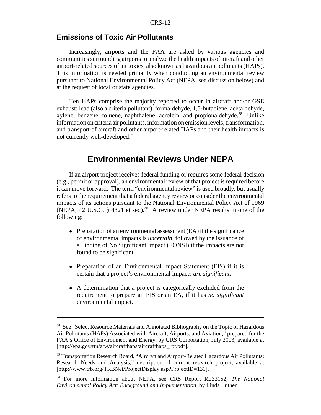## **Emissions of Toxic Air Pollutants**

Increasingly, airports and the FAA are asked by various agencies and communities surrounding airports to analyze the health impacts of aircraft and other airport-related sources of air toxics, also known as hazardous air pollutants (HAPs). This information is needed primarily when conducting an environmental review pursuant to National Environmental Policy Act (NEPA; see discussion below) and at the request of local or state agencies.

Ten HAPs comprise the majority reported to occur in aircraft and/or GSE exhaust: lead (also a criteria pollutant), formaldehyde, 1,3-butadiene, acetaldehyde, xylene, benzene, toluene, naphthalene, acrolein, and propionaldehyde.<sup>38</sup> Unlike information on criteria air pollutants, information on emission levels, transformation, and transport of aircraft and other airport-related HAPs and their health impacts is not currently well-developed.39

# **Environmental Reviews Under NEPA**

If an airport project receives federal funding or requires some federal decision (e.g., permit or approval), an environmental review of that project is required before it can move forward. The term "environmental review" is used broadly, but usually refers to the requirement that a federal agency review or consider the environmental impacts of its actions pursuant to the National Environmental Policy Act of 1969 (NEPA; 42 U.S.C. § 4321 et seq).<sup>40</sup> A review under NEPA results in one of the following:

- $\bullet$  Preparation of an environmental assessment (EA) if the significance of environmental impacts is *uncertain*, followed by the issuance of a Finding of No Significant Impact (FONSI) if the impacts are not found to be significant.
- Preparation of an Environmental Impact Statement (EIS) if it is certain that a project's environmental impacts *are significant*.
- A determination that a project is categorically excluded from the requirement to prepare an EIS or an EA, if it has *no significant* environmental impact.

<sup>&</sup>lt;sup>38</sup> See "Select Resource Materials and Annotated Bibliography on the Topic of Hazardous Air Pollutants (HAPs) Associated with Aircraft, Airports, and Aviation," prepared for the FAA's Office of Environment and Energy, by URS Corportation, July 2003, available at [http://epa.gov/ttn/atw/aircrafthaps/aircrafthaps\_rpt.pdf].

<sup>&</sup>lt;sup>39</sup> Transportation Research Board, "Aircraft and Airport-Related Hazardous Air Pollutants: Research Needs and Analysis," description of current research project, available at [http://www.trb.org/TRBNet/ProjectDisplay.asp?ProjectID=131].

<sup>40</sup> For more information about NEPA, see CRS Report RL33152, *The National Environmental Policy Act: Background and Implementation*, by Linda Luther.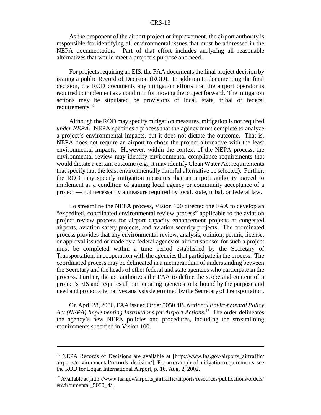As the proponent of the airport project or improvement, the airport authority is responsible for identifying all environmental issues that must be addressed in the NEPA documentation. Part of that effort includes analyzing all reasonable alternatives that would meet a project's purpose and need.

For projects requiring an EIS, the FAA documents the final project decision by issuing a public Record of Decision (ROD). In addition to documenting the final decision, the ROD documents any mitigation efforts that the airport operator is required to implement as a condition for moving the project forward. The mitigation actions may be stipulated be provisions of local, state, tribal or federal requirements. $41$ 

Although the ROD may specify mitigation measures, mitigation is not required *under NEPA*. NEPA specifies a process that the agency must complete to analyze a project's environmental impacts, but it does not dictate the outcome. That is, NEPA does not require an airport to chose the project alternative with the least environmental impacts. However, within the context of the NEPA process, the environmental review may identify environmental compliance requirements that would dictate a certain outcome (e.g., it may identify Clean Water Act requirements that specify that the least environmentally harmful alternative be selected). Further, the ROD may specify mitigation measures that an airport authority agreed to implement as a condition of gaining local agency or community acceptance of a project — not necessarily a measure required by local, state, tribal, or federal law.

To streamline the NEPA process, Vision 100 directed the FAA to develop an "expedited, coordinated environmental review process" applicable to the aviation project review process for airport capacity enhancement projects at congested airports, aviation safety projects, and aviation security projects. The coordinated process provides that any environmental review, analysis, opinion, permit, license, or approval issued or made by a federal agency or airport sponsor for such a project must be completed within a time period established by the Secretary of Transportation, in cooperation with the agencies that participate in the process. The coordinated process may be delineated in a memorandum of understanding between the Secretary and the heads of other federal and state agencies who participate in the process. Further, the act authorizes the FAA to define the scope and content of a project's EIS and requires all participating agencies to be bound by the purpose and need and project alternatives analysis determined by the Secretary of Transportation.

On April 28, 2006, FAA issued Order 5050.4B, *National Environmental Policy Act (NEPA) Implementing Instructions for Airport Actions*. 42 The order delineates the agency's new NEPA policies and procedures, including the streamlining requirements specified in Vision 100.

<sup>&</sup>lt;sup>41</sup> NEPA Records of Decisions are available at [http://www.faa.gov/airports airtraffic/ airports/environmental/records\_decision/]. For an example of mitigation requirements, see the ROD for Logan International Airport, p. 16, Aug. 2, 2002.

<sup>&</sup>lt;sup>42</sup> Available at [http://www.faa.gov/airports\_airtraffic/airports/resources/publications/orders/ environmental\_5050\_4/].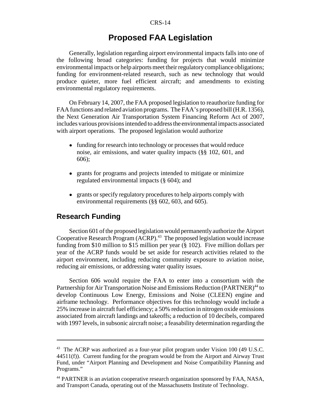# **Proposed FAA Legislation**

Generally, legislation regarding airport environmental impacts falls into one of the following broad categories: funding for projects that would minimize environmental impacts or help airports meet their regulatory compliance obligations; funding for environment-related research, such as new technology that would produce quieter, more fuel efficient aircraft; and amendments to existing environmental regulatory requirements.

On February 14, 2007, the FAA proposed legislation to reauthorize funding for FAA functions and related aviation programs. The FAA's proposed bill (H.R. 1356), the Next Generation Air Transportation System Financing Reform Act of 2007, includes various provisions intended to address the environmental impacts associated with airport operations. The proposed legislation would authorize

- funding for research into technology or processes that would reduce noise, air emissions, and water quality impacts (§§ 102, 601, and 606);
- grants for programs and projects intended to mitigate or minimize regulated environmental impacts (§ 604); and
- ! grants or specify regulatory procedures to help airports comply with environmental requirements (§§ 602, 603, and 605).

# **Research Funding**

Section 601 of the proposed legislation would permanently authorize the Airport Cooperative Research Program  $(ACRP)^{43}$  The proposed legislation would increase funding from \$10 million to \$15 million per year (§ 102). Five million dollars per year of the ACRP funds would be set aside for research activities related to the airport environment, including reducing community exposure to aviation noise, reducing air emissions, or addressing water quality issues.

Section 606 would require the FAA to enter into a consortium with the Partnership for Air Transportation Noise and Emissions Reduction (PARTNER)<sup>44</sup> to develop Continuous Low Energy, Emissions and Noise (CLEEN) engine and airframe technology. Performance objectives for this technology would include a 25% increase in aircraft fuel efficiency; a 50% reduction in nitrogen oxide emissions associated from aircraft landings and takeoffs; a reduction of 10 decibels, compared with 1997 levels, in subsonic aircraft noise; a feasability determination regarding the

<sup>&</sup>lt;sup>43</sup> The ACRP was authorized as a four-year pilot program under Vision 100 (49 U.S.C. 44511(f)). Current funding for the program would be from the Airport and Airway Trust Fund, under "Airport Planning and Development and Noise Compatibility Planning and Programs."

<sup>&</sup>lt;sup>44</sup> PARTNER is an aviation cooperative research organization sponsored by FAA, NASA, and Transport Canada, operating out of the Massachusetts Institute of Technology.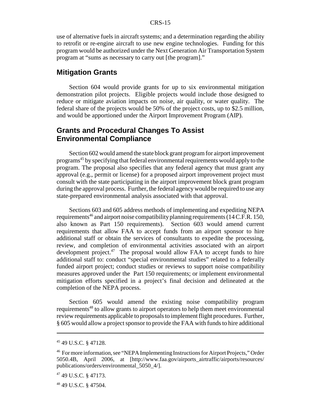use of alternative fuels in aircraft systems; and a determination regarding the ability to retrofit or re-engine aircraft to use new engine technologies. Funding for this program would be authorized under the Next Generation Air Transportation System program at "sums as necessary to carry out [the program]."

## **Mitigation Grants**

Section 604 would provide grants for up to six environmental mitigation demonstration pilot projects. Eligible projects would include those designed to reduce or mitigate aviation impacts on noise, air quality, or water quality. The federal share of the projects would be 50% of the project costs, up to \$2.5 million, and would be apportioned under the Airport Improvement Program (AIP).

# **Grants and Procedural Changes To Assist Environmental Compliance**

Section 602 would amend the state block grant program for airport improvement programs<sup>45</sup> by specifying that federal environmental requirements would apply to the program. The proposal also specifies that any federal agency that must grant any approval (e.g., permit or license) for a proposed airport improvement project must consult with the state participating in the airport improvement block grant program during the approval process. Further, the federal agency would be required to use any state-prepared environmental analysis associated with that approval.

Sections 603 and 605 address methods of implementing and expediting NEPA requirements<sup>46</sup> and airport noise compatibility planning requirements (14 C.F.R. 150, also known as Part 150 requirements). Section 603 would amend current requirements that allow FAA to accept funds from an airport sponsor to hire additional staff or obtain the services of consultants to expedite the processing, review, and completion of environmental activities associated with an airport development project. $47$  The proposal would allow FAA to accept funds to hire additional staff to: conduct "special environmental studies" related to a federally funded airport project; conduct studies or reviews to support noise compatibility measures approved under the Part 150 requirements; or implement environmental mitigation efforts specified in a project's final decision and delineated at the completion of the NEPA process.

Section 605 would amend the existing noise compatibility program requirements<sup>48</sup> to allow grants to airport operators to help them meet environmental review requirements applicable to proposals to implement flight procedures. Further, § 605 would allow a project sponsor to provide the FAA with funds to hire additional

<sup>45 49</sup> U.S.C. § 47128.

<sup>46</sup> For more information, see "NEPA Implementing Instructions for Airport Projects," Order 5050.4B, April 2006, at [http://www.faa.gov/airports\_airtraffic/airports/resources/ publications/orders/environmental\_5050\_4/].

<sup>47 49</sup> U.S.C. § 47173.

<sup>48 49</sup> U.S.C. § 47504.